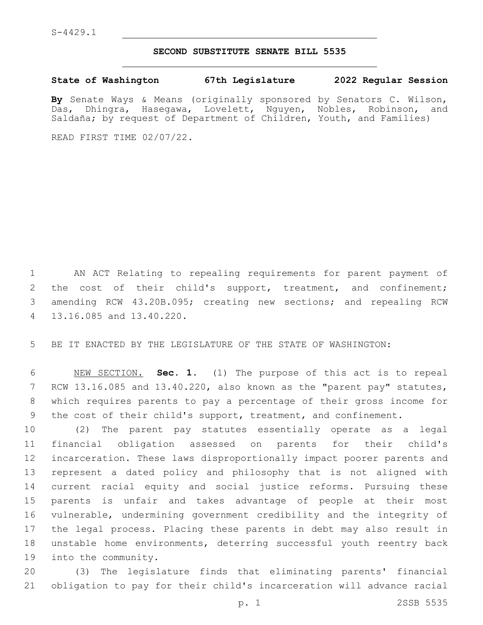## **SECOND SUBSTITUTE SENATE BILL 5535**

**State of Washington 67th Legislature 2022 Regular Session**

**By** Senate Ways & Means (originally sponsored by Senators C. Wilson, Das, Dhingra, Hasegawa, Lovelett, Nguyen, Nobles, Robinson, and Saldaña; by request of Department of Children, Youth, and Families)

READ FIRST TIME 02/07/22.

 AN ACT Relating to repealing requirements for parent payment of the cost of their child's support, treatment, and confinement; amending RCW 43.20B.095; creating new sections; and repealing RCW 13.16.085 and 13.40.220.4

BE IT ENACTED BY THE LEGISLATURE OF THE STATE OF WASHINGTON:

 NEW SECTION. **Sec. 1.** (1) The purpose of this act is to repeal RCW 13.16.085 and 13.40.220, also known as the "parent pay" statutes, which requires parents to pay a percentage of their gross income for the cost of their child's support, treatment, and confinement.

 (2) The parent pay statutes essentially operate as a legal financial obligation assessed on parents for their child's incarceration. These laws disproportionally impact poorer parents and represent a dated policy and philosophy that is not aligned with current racial equity and social justice reforms. Pursuing these parents is unfair and takes advantage of people at their most vulnerable, undermining government credibility and the integrity of the legal process. Placing these parents in debt may also result in unstable home environments, deterring successful youth reentry back 19 into the community.

 (3) The legislature finds that eliminating parents' financial obligation to pay for their child's incarceration will advance racial